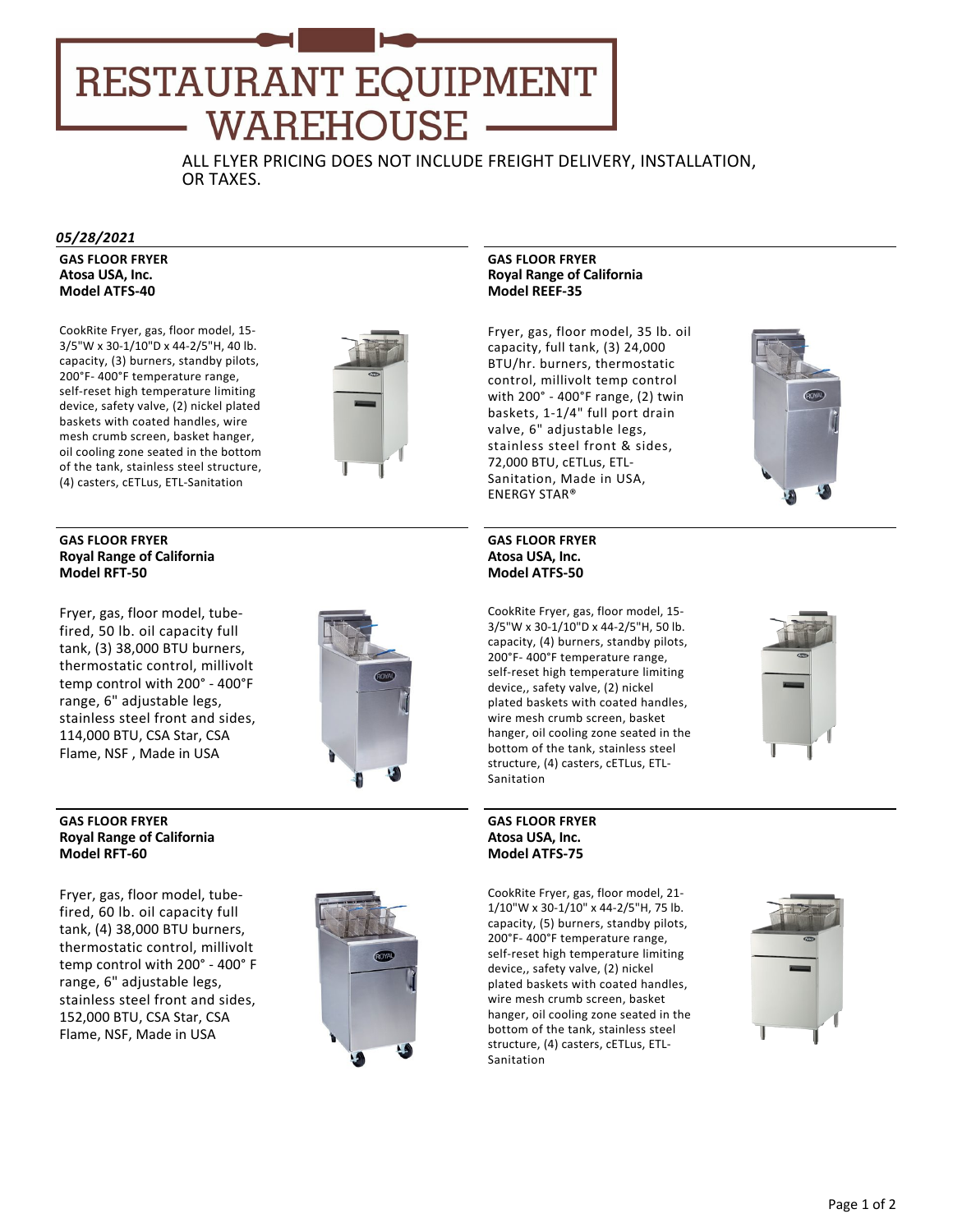# **RESTAURANT EQUIPMENT** WAREHOUSE

ALL FLYER PRICING DOES NOT INCLUDE FREIGHT DELIVERY, INSTALLATION, OR TAXES.

#### *05/28/2021*

**GAS FLOOR FRYER Atosa USA, Inc. Model ATFS‐40**

CookRite Fryer, gas, floor model, 15‐ 3/5"W x 30‐1/10"D x 44‐2/5"H, 40 lb. capacity, (3) burners, standby pilots, 200°F‐ 400°F temperature range, self‐reset high temperature limiting device, safety valve, (2) nickel plated baskets with coated handles, wire mesh crumb screen, basket hanger, oil cooling zone seated in the bottom of the tank, stainless steel structure, (4) casters, cETLus, ETL‐Sanitation



#### **GAS FLOOR FRYER Royal Range of California Model RFT‐50**

Fryer, gas, floor model, tube‐ fired, 50 lb. oil capacity full tank, (3) 38,000 BTU burners, thermostatic control, millivolt temp control with 200° ‐ 400°F range, 6" adjustable legs, stainless steel front and sides, 114,000 BTU, CSA Star, CSA Flame, NSF , Made in USA



#### **GAS FLOOR FRYER Royal Range of California Model RFT‐60**

Fryer, gas, floor model, tube‐ fired, 60 lb. oil capacity full tank, (4) 38,000 BTU burners, thermostatic control, millivolt temp control with 200° ‐ 400° F range, 6" adjustable legs, stainless steel front and sides, 152,000 BTU, CSA Star, CSA Flame, NSF, Made in USA



### **GAS FLOOR FRYER Royal Range of California Model REEF‐35**

Fryer, gas, floor model, 35 lb. oil capacity, full tank, (3) 24,000 BTU/hr. burners, thermostatic control, millivolt temp control with 200° ‐ 400°F range, (2) twin baskets, 1‐1/4" full port drain valve, 6" adjustable legs, stainless steel front & sides, 72,000 BTU, cETLus, ETL‐ Sanitation, Made in USA, ENERGY STAR®



# **GAS FLOOR FRYER Atosa USA, Inc. Model ATFS‐50**

CookRite Fryer, gas, floor model, 15‐ 3/5"W x 30‐1/10"D x 44‐2/5"H, 50 lb. capacity, (4) burners, standby pilots, 200°F‐ 400°F temperature range, self-reset high temperature limiting device,, safety valve, (2) nickel plated baskets with coated handles, wire mesh crumb screen, basket hanger, oil cooling zone seated in the bottom of the tank, stainless steel structure, (4) casters, cETLus, ETL‐ Sanitation

#### **GAS FLOOR FRYER Atosa USA, Inc. Model ATFS‐75**

CookRite Fryer, gas, floor model, 21‐ 1/10"W x 30‐1/10" x 44‐2/5"H, 75 lb. capacity, (5) burners, standby pilots, 200°F‐ 400°F temperature range, self‐reset high temperature limiting device,, safety valve, (2) nickel plated baskets with coated handles, wire mesh crumb screen, basket hanger, oil cooling zone seated in the bottom of the tank, stainless steel structure, (4) casters, cETLus, ETL‐ Sanitation